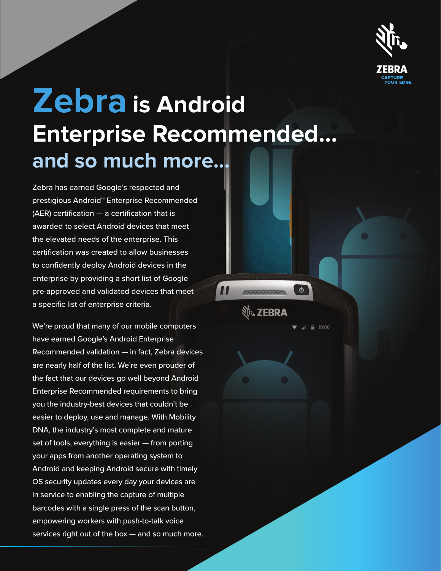

# **Zebra is Android Enterprise Recommended… and so much more...**

Zebra has earned Google's respected and prestigious Android™ Enterprise Recommended (AER) certification — a certification that is awarded to select Android devices that meet the elevated needs of the enterprise. This certification was created to allow businesses to confidently deploy Android devices in the enterprise by providing a short list of Google pre-approved and validated devices that meet a specific list of enterprise criteria.

We're proud that many of our mobile computers have earned Google's Android Enterprise Recommended validation — in fact, Zebra devices are nearly half of the list. We're even prouder of the fact that our devices go well beyond Android Enterprise Recommended requirements to bring you the industry-best devices that couldn't be easier to deploy, use and manage. With Mobility DNA, the industry's most complete and mature set of tools, everything is easier — from porting your apps from another operating system to Android and keeping Android secure with timely OS security updates every day your devices are in service to enabling the capture of multiple barcodes with a single press of the scan button, empowering workers with push-to-talk voice services right out of the box — and so much more. Nr. ZEBRA

 $\dot{\phi}$ 

10:00

 $\mathbf{u}$